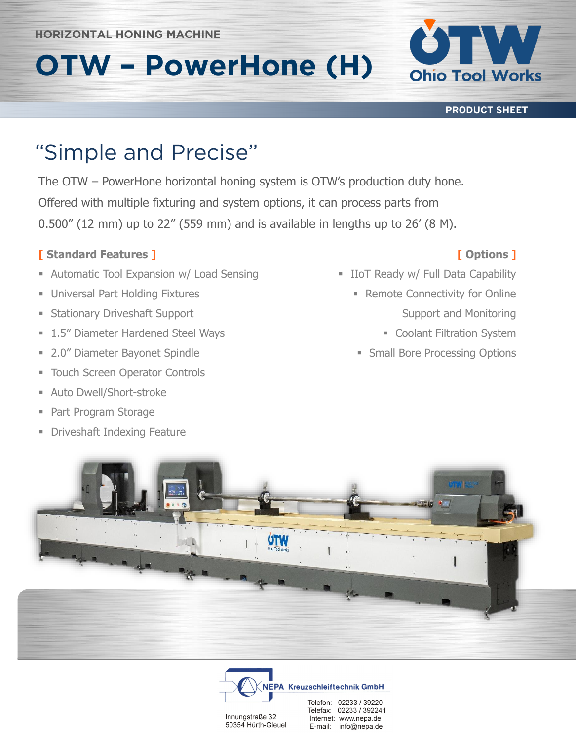#### **HORIZONTAL HONING MACHINE HORIZONTAL HONING MACHINE**

# **OTW – PowerHone (H)**

**PRODUCT SHEET**

**Ohio Tool Works** 

The OTW – PowerHone horizontal honing system is OTW's production duty hone. Offered with multiple fixturing and system options, it can process parts from 0.500" (12 mm) up to 22" (559 mm) and is available in lengths up to 26' (8 M).

#### **[ Standard Features ]**

- **EXPALLENGE AUTOMATE:** Automatic Tool Expansion w/ Load Sensing
- **Universal Part Holding Fixtures**
- **Exercise Stationary Driveshaft Support**
- **1.5" Diameter Hardened Steel Ways**
- 2.0" Diameter Bayonet Spindle
- **EXECO TOUCH Screen Operator Controls**
- Auto Dwell/Short-stroke
- Part Program Storage
- **Driveshaft Indexing Feature**

### **[ Options ]**

- **E** IIoT Ready w/ Full Data Capability
	- Remote Connectivity for Online Support and Monitoring
		- **Example 21 Coolant Filtration System**
		- **Example Bore Processing Options**





Innungstraße 32 50354 Hürth-Gleuel Telefax: 02233 / 392241 Internet: www.nepa.de E-mail: info@nepa.de